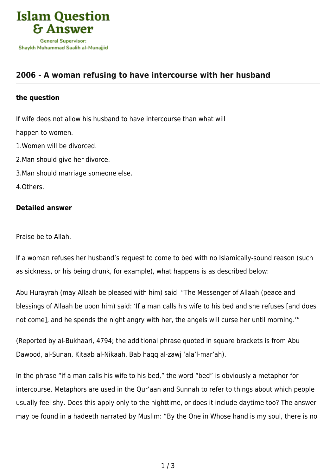

## **[2006 - A woman refusing to have intercourse with her husband](https://islamqa.com/en/answers/2006/a-woman-refusing-to-have-intercourse-with-her-husband)**

## **the question**

If wife deos not allow his husband to have intercourse than what will happen to women. 1.Women will be divorced. 2.Man should give her divorce. 3.Man should marriage someone else. 4.Others.

## **Detailed answer**

Praise be to Allah.

If a woman refuses her husband's request to come to bed with no Islamically-sound reason (such as sickness, or his being drunk, for example), what happens is as described below:

Abu Hurayrah (may Allaah be pleased with him) said: "The Messenger of Allaah (peace and blessings of Allaah be upon him) said: 'If a man calls his wife to his bed and she refuses [and does not come], and he spends the night angry with her, the angels will curse her until morning.'"

(Reported by al-Bukhaari, 4794; the additional phrase quoted in square brackets is from Abu Dawood, al-Sunan, Kitaab al-Nikaah, Bab haqq al-zawj 'ala'l-mar'ah).

In the phrase "if a man calls his wife to his bed," the word "bed" is obviously a metaphor for intercourse. Metaphors are used in the Qur'aan and Sunnah to refer to things about which people usually feel shy. Does this apply only to the nighttime, or does it include daytime too? The answer may be found in a hadeeth narrated by Muslim: "By the One in Whose hand is my soul, there is no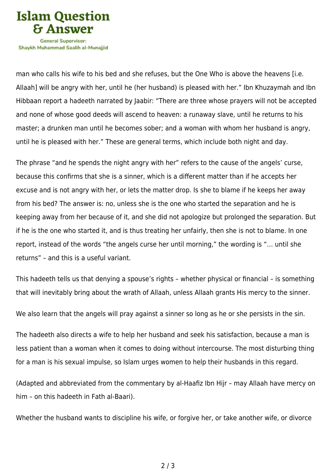

Shavkh Muhammad Saalih al-Munaiiid

man who calls his wife to his bed and she refuses, but the One Who is above the heavens [i.e. Allaah] will be angry with her, until he (her husband) is pleased with her." Ibn Khuzaymah and Ibn Hibbaan report a hadeeth narrated by Jaabir: "There are three whose prayers will not be accepted and none of whose good deeds will ascend to heaven: a runaway slave, until he returns to his master; a drunken man until he becomes sober; and a woman with whom her husband is angry, until he is pleased with her." These are general terms, which include both night and day.

The phrase "and he spends the night angry with her" refers to the cause of the angels' curse, because this confirms that she is a sinner, which is a different matter than if he accepts her excuse and is not angry with her, or lets the matter drop. Is she to blame if he keeps her away from his bed? The answer is: no, unless she is the one who started the separation and he is keeping away from her because of it, and she did not apologize but prolonged the separation. But if he is the one who started it, and is thus treating her unfairly, then she is not to blame. In one report, instead of the words "the angels curse her until morning," the wording is "… until she returns" – and this is a useful variant.

This hadeeth tells us that denying a spouse's rights – whether physical or financial – is something that will inevitably bring about the wrath of Allaah, unless Allaah grants His mercy to the sinner.

We also learn that the angels will pray against a sinner so long as he or she persists in the sin.

The hadeeth also directs a wife to help her husband and seek his satisfaction, because a man is less patient than a woman when it comes to doing without intercourse. The most disturbing thing for a man is his sexual impulse, so Islam urges women to help their husbands in this regard.

(Adapted and abbreviated from the commentary by al-Haafiz Ibn Hijr – may Allaah have mercy on him – on this hadeeth in Fath al-Baari).

Whether the husband wants to discipline his wife, or forgive her, or take another wife, or divorce